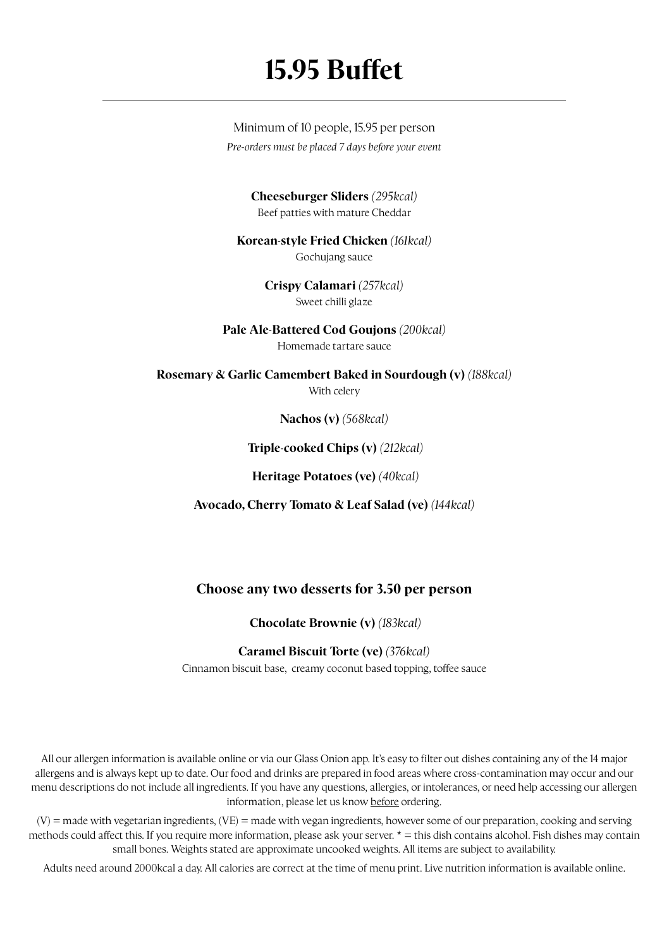## **15.95 Buffet**

Minimum of 10 people, 15.95 per person *Pre-orders must be placed 7 days before your event*

> **Cheeseburger Sliders** *(295kcal)* Beef patties with mature Cheddar

**Korean-style Fried Chicken** *(161kcal)* Gochujang sauce

> **Crispy Calamari** *(257kcal)* Sweet chilli glaze

**Pale Ale-Battered Cod Goujons** *(200kcal)* Homemade tartare sauce

**Rosemary & Garlic Camembert Baked in Sourdough (v)** *(188kcal)* With celery

**Nachos (v)** *(568kcal)*

 **Triple-cooked Chips (v)** *(212kcal)*

 **Heritage Potatoes (ve)** *(40kcal)*

**Avocado, Cherry Tomato & Leaf Salad (ve)** *(144kcal)*

### **Choose any two desserts for 3.50 per person**

 **Chocolate Brownie (v)** *(183kcal)*

#### **Caramel Biscuit Torte (ve)** *(376kcal)*

Cinnamon biscuit base, creamy coconut based topping, toffee sauce

All our allergen information is available online or via our Glass Onion app. It's easy to filter out dishes containing any of the 14 major allergens and is always kept up to date. Our food and drinks are prepared in food areas where cross-contamination may occur and our menu descriptions do not include all ingredients. If you have any questions, allergies, or intolerances, or need help accessing our allergen information, please let us know before ordering.

 $(V)$  = made with vegetarian ingredients,  $(VE)$  = made with vegan ingredients, however some of our preparation, cooking and serving methods could affect this. If you require more information, please ask your server. \* = this dish contains alcohol. Fish dishes may contain small bones. Weights stated are approximate uncooked weights. All items are subject to availability.

Adults need around 2000kcal a day. All calories are correct at the time of menu print. Live nutrition information is available online.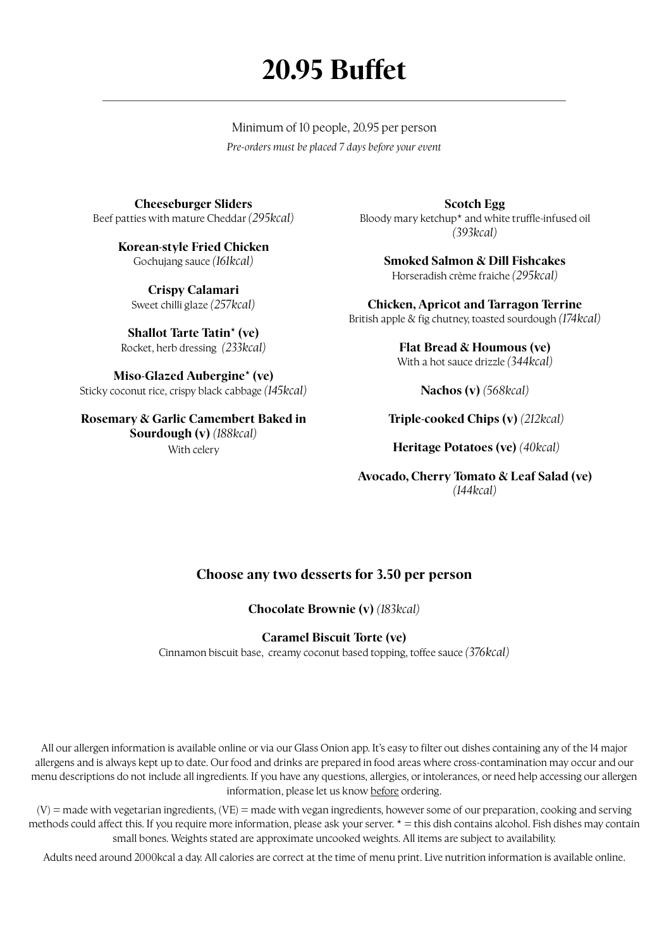# **20.95 Buffet**

Minimum of 10 people, 20.95 per person *Pre-orders must be placed 7 days before your event*

**Cheeseburger Sliders** Beef patties with mature Cheddar *(295kcal)*

> **Korean-style Fried Chicken** Gochujang sauce *(161kcal)*

**Crispy Calamari** Sweet chilli glaze *(257kcal)*

**Shallot Tarte Tatin\* (ve)** Rocket, herb dressing *(233kcal)*

**Miso-Glazed Aubergine\* (ve)**  Sticky coconut rice, crispy black cabbage *(145kcal)*

**Rosemary & Garlic Camembert Baked in Sourdough (v)** *(188kcal)* With celery

**Scotch Egg** Bloody mary ketchup\* and white truffle-infused oil *(393kcal)*

> **Smoked Salmon & Dill Fishcakes** Horseradish crème f raiche *(295kcal)*

**Chicken, Apricot and Tarragon Terrine** British apple & fig chutney, toasted sourdough *(174kcal)* 

> **Flat Bread & Houmous (ve)**  With a hot sauce drizzle *(344kcal)*

> > **Nachos (v)** *(568kcal)*

 **Triple-cooked Chips (v)** *(212kcal)*

 **Heritage Potatoes (ve)** *(40kcal)*

**Avocado, Cherry Tomato & Leaf Salad (ve)**  *(144kcal)*

### **Choose any two desserts for 3.50 per person**

**Chocolate Brownie (v)** *(183kcal)*

### **Caramel Biscuit Torte (ve)**

Cinnamon biscuit base, creamy coconut based topping, toffee sauce *(376kcal)*

All our allergen information is available online or via our Glass Onion app. It's easy to filter out dishes containing any of the 14 major allergens and is always kept up to date. Our food and drinks are prepared in food areas where cross-contamination may occur and our menu descriptions do not include all ingredients. If you have any questions, allergies, or intolerances, or need help accessing our allergen information, please let us know before ordering.

(V) = made with vegetarian ingredients, (VE) = made with vegan ingredients, however some of our preparation, cooking and serving methods could affect this. If you require more information, please ask your server.  $* =$  this dish contains alcohol. Fish dishes may contain small bones. Weights stated are approximate uncooked weights. All items are subject to availability.

Adults need around 2000kcal a day. All calories are correct at the time of menu print. Live nutrition information is available online.